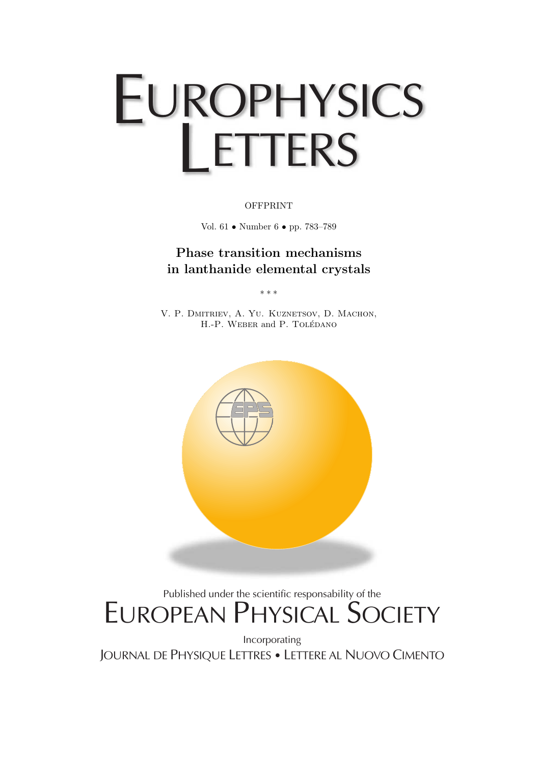# EUROPHYSICS LETTERS

#### **OFFPRINT**

Vol. 61 • Number 6 • pp. 783–789

### **Phase transition mechanisms in lanthanide elemental crystals**

∗∗∗

V. P. Dmitriev, A. Yu. Kuznetsov, D. Machon, H.-P. WEBER and P. TOLÉDANO



## Published under the scientific responsability of the EUROPEAN PHYSICAL SOCIETY

Incorporating

JOURNAL DE PHYSIQUE LETTRES • LETTERE AL NUOVO CIMENTO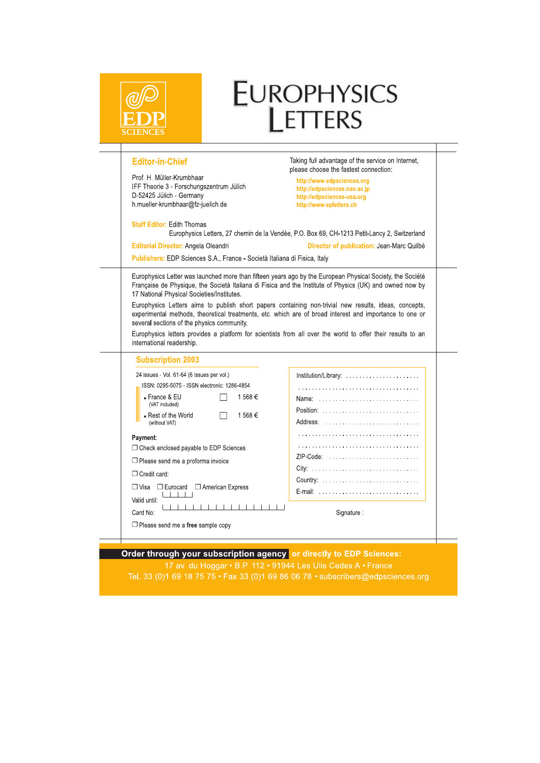| <b>Editor-in-Chief</b><br>Taking full advantage of the service on Internet,<br>please choose the fastest connection:<br>Prof. H. Müller-Krumbhaar<br>http://www.edpsciences.org<br>IFF Theorie 3 - Forschungszentrum Jülich<br>http://edpsciences.nao.ac.jp<br>D-52425 Jülich - Germany<br>http://edpsciences-usa.org<br>h.mueller-krumbhaar@fz-juelich.de<br>http://www.epletters.ch<br><b>Staff Editor: Edith Thomas</b><br>Europhysics Letters, 27 chemin de la Vendée, P.O. Box 69, CH-1213 Petit-Lancy 2, Switzerland<br>Director of publication: Jean-Marc Quilbé<br>Editorial Director: Angela Oleandri<br>Publishers: EDP Sciences S.A., France - Società Italiana di Fisica, Italy<br>Europhysics Letter was launched more than fifteen years ago by the European Physical Society, the Société<br>Française de Physique, the Società Italiana di Fisica and the Institute of Physics (UK) and owned now by<br>17 National Physical Societies/Institutes.<br>Europhysics Letters aims to publish short papers containing non-trivial new results, ideas, concepts,<br>experimental methods, theoretical treatments, etc. which are of broad interest and importance to one or<br>several sections of the physics community.<br>Europhysics letters provides a platform for scientists from all over the world to offer their results to an<br>international readership.<br><b>Subscription 2003</b><br>24 issues - Vol. 61-64 (6 issues per vol.)<br>Institution/Library:<br>ISSN: 0295-5075 - ISSN electronic: 1286-4854<br>• France & EU<br>1568€<br>Name:<br>(VAT included)<br>• Rest of the World<br>1 568 €<br>(without VAT)<br>Payment:<br>□ Check enclosed payable to EDP Sciences<br>$\Box$ Please send me a proforma invoice<br>□ Credit card:<br>□ Visa □ Eurocard □ American Express<br>E-mail:<br>Valid until:<br>Card No:<br>Signature: | EUROPHYSICS |
|---------------------------------------------------------------------------------------------------------------------------------------------------------------------------------------------------------------------------------------------------------------------------------------------------------------------------------------------------------------------------------------------------------------------------------------------------------------------------------------------------------------------------------------------------------------------------------------------------------------------------------------------------------------------------------------------------------------------------------------------------------------------------------------------------------------------------------------------------------------------------------------------------------------------------------------------------------------------------------------------------------------------------------------------------------------------------------------------------------------------------------------------------------------------------------------------------------------------------------------------------------------------------------------------------------------------------------------------------------------------------------------------------------------------------------------------------------------------------------------------------------------------------------------------------------------------------------------------------------------------------------------------------------------------------------------------------------------------------------------------------------------------------------------------------------------------------------------------------------------|-------------|
|                                                                                                                                                                                                                                                                                                                                                                                                                                                                                                                                                                                                                                                                                                                                                                                                                                                                                                                                                                                                                                                                                                                                                                                                                                                                                                                                                                                                                                                                                                                                                                                                                                                                                                                                                                                                                                                               |             |
|                                                                                                                                                                                                                                                                                                                                                                                                                                                                                                                                                                                                                                                                                                                                                                                                                                                                                                                                                                                                                                                                                                                                                                                                                                                                                                                                                                                                                                                                                                                                                                                                                                                                                                                                                                                                                                                               |             |
|                                                                                                                                                                                                                                                                                                                                                                                                                                                                                                                                                                                                                                                                                                                                                                                                                                                                                                                                                                                                                                                                                                                                                                                                                                                                                                                                                                                                                                                                                                                                                                                                                                                                                                                                                                                                                                                               |             |
|                                                                                                                                                                                                                                                                                                                                                                                                                                                                                                                                                                                                                                                                                                                                                                                                                                                                                                                                                                                                                                                                                                                                                                                                                                                                                                                                                                                                                                                                                                                                                                                                                                                                                                                                                                                                                                                               |             |
|                                                                                                                                                                                                                                                                                                                                                                                                                                                                                                                                                                                                                                                                                                                                                                                                                                                                                                                                                                                                                                                                                                                                                                                                                                                                                                                                                                                                                                                                                                                                                                                                                                                                                                                                                                                                                                                               |             |
|                                                                                                                                                                                                                                                                                                                                                                                                                                                                                                                                                                                                                                                                                                                                                                                                                                                                                                                                                                                                                                                                                                                                                                                                                                                                                                                                                                                                                                                                                                                                                                                                                                                                                                                                                                                                                                                               |             |
|                                                                                                                                                                                                                                                                                                                                                                                                                                                                                                                                                                                                                                                                                                                                                                                                                                                                                                                                                                                                                                                                                                                                                                                                                                                                                                                                                                                                                                                                                                                                                                                                                                                                                                                                                                                                                                                               |             |
|                                                                                                                                                                                                                                                                                                                                                                                                                                                                                                                                                                                                                                                                                                                                                                                                                                                                                                                                                                                                                                                                                                                                                                                                                                                                                                                                                                                                                                                                                                                                                                                                                                                                                                                                                                                                                                                               |             |
|                                                                                                                                                                                                                                                                                                                                                                                                                                                                                                                                                                                                                                                                                                                                                                                                                                                                                                                                                                                                                                                                                                                                                                                                                                                                                                                                                                                                                                                                                                                                                                                                                                                                                                                                                                                                                                                               |             |
|                                                                                                                                                                                                                                                                                                                                                                                                                                                                                                                                                                                                                                                                                                                                                                                                                                                                                                                                                                                                                                                                                                                                                                                                                                                                                                                                                                                                                                                                                                                                                                                                                                                                                                                                                                                                                                                               |             |
|                                                                                                                                                                                                                                                                                                                                                                                                                                                                                                                                                                                                                                                                                                                                                                                                                                                                                                                                                                                                                                                                                                                                                                                                                                                                                                                                                                                                                                                                                                                                                                                                                                                                                                                                                                                                                                                               |             |
|                                                                                                                                                                                                                                                                                                                                                                                                                                                                                                                                                                                                                                                                                                                                                                                                                                                                                                                                                                                                                                                                                                                                                                                                                                                                                                                                                                                                                                                                                                                                                                                                                                                                                                                                                                                                                                                               |             |

Order through your subscription agency or directly to EDP Sciences:

17 av. du Hoggar · B.P. 112 · 91944 Les Ulis Cedex A · France Tel. 33 (0)1 69 18 75 75 • Fax 33 (0)1 69 86 06 78 • subscribers@edpsciences.org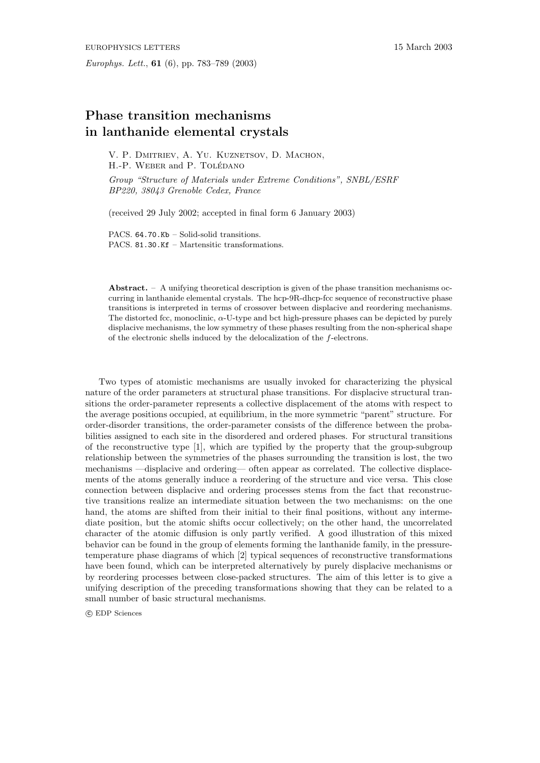#### **Phase transition mechanisms in lanthanide elemental crystals**

V. P. DMITRIEV, A. YU. KUZNETSOV, D. MACHON, H.-P. WEBER and P. TOLÉDANO Group "Structure of Materials under Extreme Conditions", SNBL/ESRF BP220, 38043 Grenoble Cedex, France

(received 29 July 2002; accepted in final form 6 January 2003)

PACS. 64.70.Kb – Solid-solid transitions. PACS. 81.30.Kf – Martensitic transformations.

**Abstract.** – A unifying theoretical description is given of the phase transition mechanisms occurring in lanthanide elemental crystals. The hcp-9R-dhcp-fcc sequence of reconstructive phase transitions is interpreted in terms of crossover between displacive and reordering mechanisms. The distorted fcc, monoclinic,  $\alpha$ -U-type and bct high-pressure phases can be depicted by purely displacive mechanisms, the low symmetry of these phases resulting from the non-spherical shape of the electronic shells induced by the delocalization of the f-electrons.

Two types of atomistic mechanisms are usually invoked for characterizing the physical nature of the order parameters at structural phase transitions. For displacive structural transitions the order-parameter represents a collective displacement of the atoms with respect to the average positions occupied, at equilibrium, in the more symmetric "parent" structure. For order-disorder transitions, the order-parameter consists of the difference between the probabilities assigned to each site in the disordered and ordered phases. For structural transitions of the reconstructive type [1], which are typified by the property that the group-subgroup relationship between the symmetries of the phases surrounding the transition is lost, the two mechanisms —displacive and ordering— often appear as correlated. The collective displacements of the atoms generally induce a reordering of the structure and vice versa. This close connection between displacive and ordering processes stems from the fact that reconstructive transitions realize an intermediate situation between the two mechanisms: on the one hand, the atoms are shifted from their initial to their final positions, without any intermediate position, but the atomic shifts occur collectively; on the other hand, the uncorrelated character of the atomic diffusion is only partly verified. A good illustration of this mixed behavior can be found in the group of elements forming the lanthanide family, in the pressuretemperature phase diagrams of which [2] typical sequences of reconstructive transformations have been found, which can be interpreted alternatively by purely displacive mechanisms or by reordering processes between close-packed structures. The aim of this letter is to give a unifying description of the preceding transformations showing that they can be related to a small number of basic structural mechanisms.

c EDP Sciences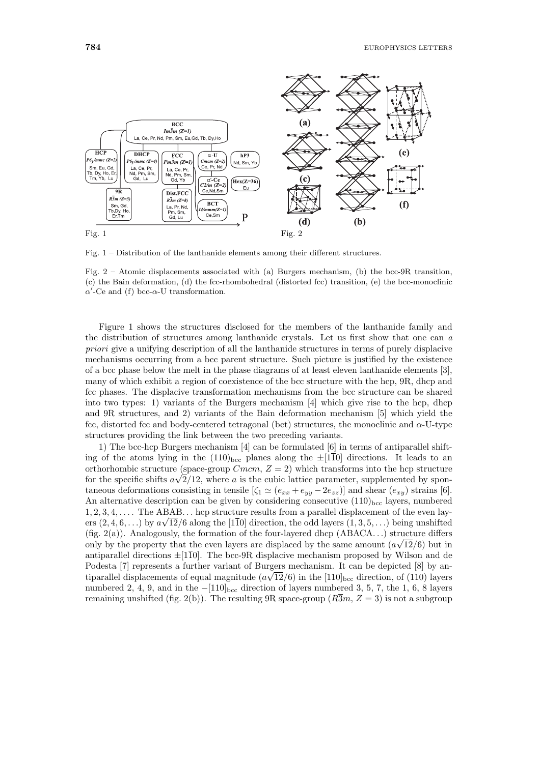

Fig. 1 – Distribution of the lanthanide elements among their different structures.

Fig. 2 – Atomic displacements associated with (a) Burgers mechanism, (b) the bcc-9R transition, (c) the Bain deformation, (d) the fcc-rhombohedral (distorted fcc) transition, (e) the bcc-monoclinic  $\alpha'$ -Ce and (f) bcc- $\alpha$ -U transformation.

Figure 1 shows the structures disclosed for the members of the lanthanide family and the distribution of structures among lanthanide crystals. Let us first show that one can a priori give a unifying description of all the lanthanide structures in terms of purely displacive mechanisms occurring from a bcc parent structure. Such picture is justified by the existence of a bcc phase below the melt in the phase diagrams of at least eleven lanthanide elements [3], many of which exhibit a region of coexistence of the bcc structure with the hcp, 9R, dhcp and fcc phases. The displacive transformation mechanisms from the bcc structure can be shared into two types: 1) variants of the Burgers mechanism [4] which give rise to the hcp, dhcp and 9R structures, and 2) variants of the Bain deformation mechanism [5] which yield the fcc, distorted fcc and body-centered tetragonal (bct) structures, the monoclinic and  $\alpha$ -U-type structures providing the link between the two preceding variants.

1) The bcc-hcp Burgers mechanism [4] can be formulated [6] in terms of antiparallel shifting of the atoms lying in the  $(110)_{\text{bcc}}$  planes along the  $\pm$ [10] directions. It leads to an orthorhombic structure (space-group  $Cmcm$ ,  $Z = 2$ ) which transforms into the hcp structure for the specific shifts  $a\sqrt{2}/12$ , where a is the cubic lattice parameter, supplemented by spontaneous deformations consisting in tensile  $[\zeta_1 \simeq (e_{xx} + e_{yy} - 2e_{zz})]$  and shear  $(e_{xy})$  strains [6]. An alternative description can be given by considering consecutive  $(110)_{\text{bcc}}$  layers, numbered 1, 2, 3, 4,... . The ABAB... hcp structure results from a parallel displacement of the even lay- $\frac{1}{2}$ ,  $\frac{1}{2}$ ,  $\frac{1}{2}$ ,  $\frac{1}{2}$ ,  $\frac{1}{2}$ ,  $\frac{1}{2}$  along the [110] direction, the odd layers  $(1, 3, 5, ...)$  being unshifted (fig.  $2(a)$ ). Analogously, the formation of the four-layered dhcp (ABACA...) structure differs only by the property that the even layers are displaced by the same amount  $(a\sqrt{12}/6)$  but in antiparallel directions  $\pm$ [1 $\overline{10}$ ]. The bcc-9R displacive mechanism proposed by Wilson and de Podesta [7] represents a further variant of Burgers mechanism. It can be depicted [8] by antiparallel displacements of equal magnitude  $(a\sqrt{12}/6)$  in the  $[110]_{\text{bcc}}$  direction, of  $(110)$  layers numbered 2, 4, 9, and in the  $-[110]_{\text{bcc}}$  direction of layers numbered 3, 5, 7, the 1, 6, 8 layers remaining unshifted (fig. 2(b)). The resulting 9R space-group ( $R\overline{3}m$ ,  $Z = 3$ ) is not a subgroup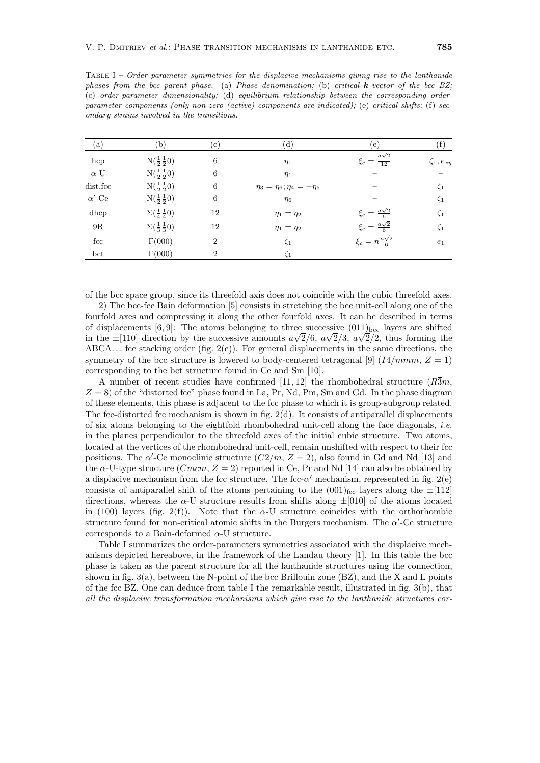TABLE I – Order parameter symmetries for the displacive mechanisms giving rise to the lanthanide phases from the bcc parent phase. (a) Phase denomination; (b) critical  $k$ -vector of the bcc BZ; (c) order-parameter dimensionality; (d) equilibrium relationship between the corresponding orderparameter components (only non-zero (active) components are indicated); (e) critical shifts; (f) secondary strains involved in the transitions.

| $\left( \mathrm{a}\right)$ | (b                                | $\rm(c)$       | 'd)                                 | (e)                                   | $^{(\rm f)}$     |
|----------------------------|-----------------------------------|----------------|-------------------------------------|---------------------------------------|------------------|
| hcp                        | $N(\frac{1}{2}\frac{1}{2}0)$      | 6              | $\eta_1$                            | $a\sqrt{2}$<br>$\xi_c = \frac{1}{12}$ | $\zeta_1,e_{xy}$ |
| $\alpha$ -U                | $N(\frac{1}{2}\frac{1}{2}0)$      | 6              | $\eta_1$                            |                                       |                  |
| dist.fcc                   | $N(\frac{1}{2}\frac{1}{2}0)$      | 6              | $\eta_3 = \eta_6; \eta_4 = -\eta_5$ |                                       | $\zeta_1$        |
| $\alpha'$ -Ce              | $N(\frac{1}{2}\frac{1}{2}0)$      | 6              | $\eta_6$                            |                                       | $\zeta_1$        |
| dhcp                       | $\Sigma(\frac{1}{4}\frac{1}{4}0)$ | 12             | $\eta_1=\eta_2$                     | $\xi_c = \frac{a\sqrt{2}}{6}$         | $\zeta_1$        |
| $9\mathrm{R}$              | $\Sigma(\frac{1}{3}\frac{1}{3}0)$ | 12             | $\eta_1=\eta_2$                     | $\xi_c = \frac{a\sqrt{2}}{6}$         | $\zeta_1$        |
| $_{\text{fcc}}$            | $\Gamma(000)$                     | $\overline{2}$ | $\zeta_1$                           | $\xi_c = n \frac{a\sqrt{2}}{6}$       | $e_1$            |
| bct                        | $\Gamma(000)$                     | $\overline{2}$ | $\zeta_1$                           |                                       |                  |

of the bcc space group, since its threefold axis does not coincide with the cubic threefold axes.

2) The bcc-fcc Bain deformation [5] consists in stretching the bcc unit-cell along one of the fourfold axes and compressing it along the other fourfold axes. It can be described in terms of displacements  $[6, 9]$ : The atoms belonging to three successive  $(011)_{\text{bcc}}$  layers are shifted in the  $\pm$ [110] direction by the successive amounts  $a\sqrt{2}/6$ ,  $a\sqrt{2}/3$ ,  $a\sqrt{2}/2$ , thus forming the ABCA... fcc stacking order (fig.  $2(c)$ ). For general displacements in the same directions, the symmetry of the bcc structure is lowered to body-centered tetragonal [9]  $(14/mmm, Z = 1)$ corresponding to the bct structure found in Ce and Sm [10].

A number of recent studies have confirmed [11, 12] the rhombohedral structure  $(R\overline{3}m,$  $Z = 8$ ) of the "distorted fcc" phase found in La, Pr, Nd, Pm, Sm and Gd. In the phase diagram of these elements, this phase is adjacent to the fcc phase to which it is group-subgroup related. The fcc-distorted fcc mechanism is shown in fig.  $2(d)$ . It consists of antiparallel displacements of six atoms belonging to the eightfold rhombohedral unit-cell along the face diagonals, i.e. in the planes perpendicular to the threefold axes of the initial cubic structure. Two atoms, located at the vertices of the rhombohedral unit-cell, remain unshifted with respect to their fcc positions. The  $\alpha'$ -Ce monoclinic structure  $(C2/m, Z = 2)$ , also found in Gd and Nd [13] and the  $\alpha$ -U-type structure (Cmcm,  $Z = 2$ ) reported in Ce, Pr and Nd [14] can also be obtained by a displacive mechanism from the fcc structure. The fcc- $\alpha'$  mechanism, represented in fig. 2(e) consists of antiparallel shift of the atoms pertaining to the  $(001)_{\text{fcc}}$  layers along the  $\pm$ [112] directions, whereas the  $\alpha$ -U structure results from shifts along  $\pm$ [010] of the atoms located in (100) layers (fig. 2(f)). Note that the  $\alpha$ -U structure coincides with the orthorhombic structure found for non-critical atomic shifts in the Burgers mechanism. The  $\alpha'$ -Ce structure corresponds to a Bain-deformed  $\alpha$ -U structure.

Table I summarizes the order-parameters symmetries associated with the displacive mechanisms depicted hereabove, in the framework of the Landau theory [1]. In this table the bcc phase is taken as the parent structure for all the lanthanide structures using the connection, shown in fig.  $3(a)$ , between the N-point of the bcc Brillouin zone  $(BZ)$ , and the X and L points of the fcc BZ. One can deduce from table I the remarkable result, illustrated in fig. 3(b), that all the displacive transformation mechanisms which give rise to the lanthanide structures cor-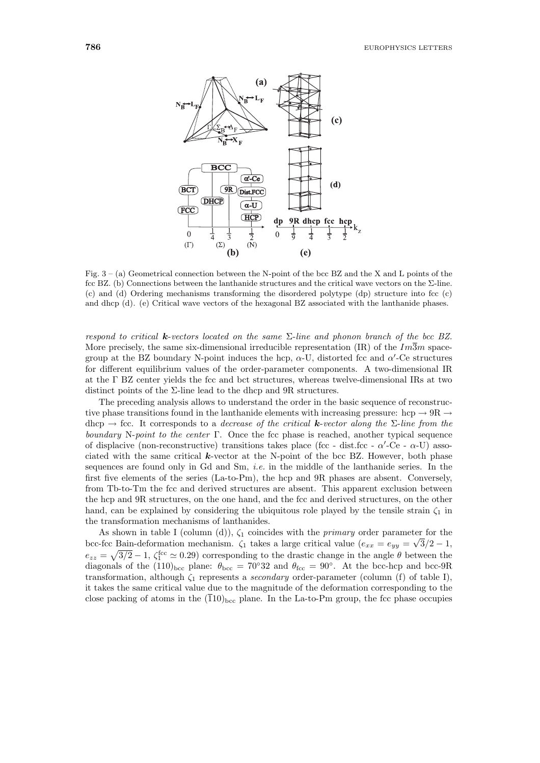

Fig.  $3 - (a)$  Geometrical connection between the N-point of the bcc BZ and the X and L points of the fcc BZ. (b) Connections between the lanthanide structures and the critical wave vectors on the  $\Sigma$ -line. (c) and (d) Ordering mechanisms transforming the disordered polytype (dp) structure into fcc (c) and dhcp (d). (e) Critical wave vectors of the hexagonal BZ associated with the lanthanide phases.

respond to critical **k**-vectors located on the same  $\Sigma$ -line and phonon branch of the bcc BZ. More precisely, the same six-dimensional irreducible representation (IR) of the  $Im\overline{3}m$  spacegroup at the BZ boundary N-point induces the hcp,  $\alpha$ -U, distorted fcc and  $\alpha'$ -Ce structures for different equilibrium values of the order-parameter components. A two-dimensional IR at the  $\Gamma$  BZ center yields the fcc and bct structures, whereas twelve-dimensional IRs at two distinct points of the  $\Sigma$ -line lead to the dhcp and 9R structures.

The preceding analysis allows to understand the order in the basic sequence of reconstructive phase transitions found in the lanthanide elements with increasing pressure: hcp  $\rightarrow$  9R  $\rightarrow$ dhcp  $\rightarrow$  fcc. It corresponds to a *decrease of the critical* **k**-vector along the  $\Sigma$ -line from the boundary N-point to the center  $\Gamma$ . Once the fcc phase is reached, another typical sequence of displacive (non-reconstructive) transitions takes place (fcc - dist.fcc -  $\alpha'$ -Ce -  $\alpha$ -U) associated with the same critical *k*-vector at the N-point of the bcc BZ. However, both phase sequences are found only in Gd and Sm, i.e. in the middle of the lanthanide series. In the first five elements of the series (La-to-Pm), the hcp and 9R phases are absent. Conversely, from Tb-to-Tm the fcc and derived structures are absent. This apparent exclusion between the hcp and 9R structures, on the one hand, and the fcc and derived structures, on the other hand, can be explained by considering the ubiquitous role played by the tensile strain  $\zeta_1$  in the transformation mechanisms of lanthanides.

As shown in table I (column (d)),  $\zeta_1$  coincides with the *primary* order parameter for the bcc-fcc Bain-deformation mechanism.  $\zeta_1$  takes a large critical value  $(e_{xx} = e_{yy} = \sqrt{3}/2 - 1$ ,  $e_{zz} = \sqrt{3/2} - 1$ ,  $\zeta_1^{\text{fcc}} \simeq 0.29$ ) corresponding to the drastic change in the angle  $\theta$  between the diagonals of the  $(110)_{\text{bcc}}$  plane:  $\theta_{\text{bcc}} = 70^{\circ}32$  and  $\theta_{\text{fcc}} = 90^{\circ}$ . At the bcc-hcp and bcc-9R transformation, although  $\zeta_1$  represents a *secondary* order-parameter (column (f) of table I), it takes the same critical value due to the magnitude of the deformation corresponding to the close packing of atoms in the  $(110)_{\text{bcc}}$  plane. In the La-to-Pm group, the fcc phase occupies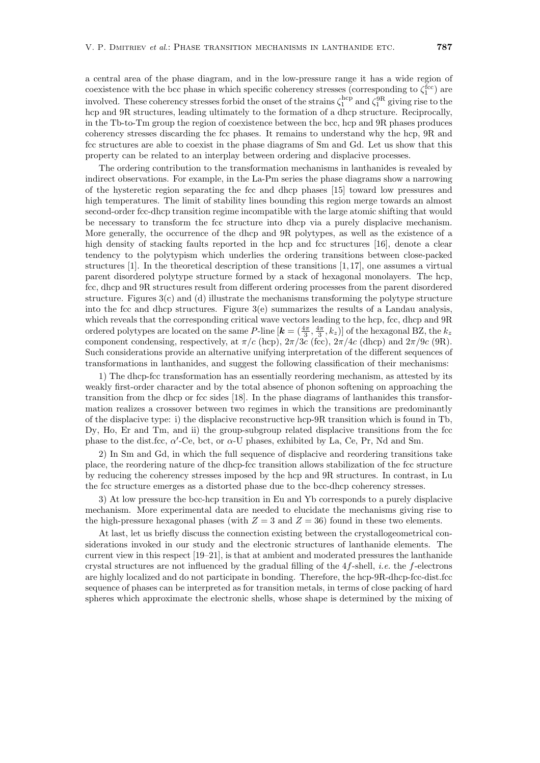a central area of the phase diagram, and in the low-pressure range it has a wide region of coexistence with the bcc phase in which specific coherency stresses (corresponding to  $\zeta_1^{\text{fcc}}$ ) are involved. These coherency stresses forbid the onset of the strains  $\zeta_1^{\text{hp}}$  and  $\zeta_1^{\text{9R}}$  giving rise to the hcp and 9R structures, leading ultimately to the formation of a dhcp structure. Reciprocally, in the Tb-to-Tm group the region of coexistence between the bcc, hcp and 9R phases produces coherency stresses discarding the fcc phases. It remains to understand why the hcp, 9R and fcc structures are able to coexist in the phase diagrams of Sm and Gd. Let us show that this property can be related to an interplay between ordering and displacive processes.

The ordering contribution to the transformation mechanisms in lanthanides is revealed by indirect observations. For example, in the La-Pm series the phase diagrams show a narrowing of the hysteretic region separating the fcc and dhcp phases [15] toward low pressures and high temperatures. The limit of stability lines bounding this region merge towards an almost second-order fcc-dhcp transition regime incompatible with the large atomic shifting that would be necessary to transform the fcc structure into dhcp via a purely displacive mechanism. More generally, the occurrence of the dhcp and 9R polytypes, as well as the existence of a high density of stacking faults reported in the hcp and fcc structures [16], denote a clear tendency to the polytypism which underlies the ordering transitions between close-packed structures [1]. In the theoretical description of these transitions [1, 17], one assumes a virtual parent disordered polytype structure formed by a stack of hexagonal monolayers. The hcp, fcc, dhcp and 9R structures result from different ordering processes from the parent disordered structure. Figures  $3(c)$  and (d) illustrate the mechanisms transforming the polytype structure into the fcc and dhcp structures. Figure 3(e) summarizes the results of a Landau analysis, which reveals that the corresponding critical wave vectors leading to the hcp, fcc, dhcp and  $9R$ ordered polytypes are located on the same  $P$ -line  $[\mathbf{k} = (\frac{4\pi}{3}, \frac{4\pi}{3}, k_z)]$  of the hexagonal BZ, the  $k_z$ component condensing, respectively, at  $\pi/c$  (hcp),  $2\pi/3c$  (fcc),  $2\pi/4c$  (dhcp) and  $2\pi/9c$  (9R). Such considerations provide an alternative unifying interpretation of the different sequences of transformations in lanthanides, and suggest the following classification of their mechanisms:

1) The dhcp-fcc transformation has an essentially reordering mechanism, as attested by its weakly first-order character and by the total absence of phonon softening on approaching the transition from the dhcp or fcc sides [18]. In the phase diagrams of lanthanides this transformation realizes a crossover between two regimes in which the transitions are predominantly of the displacive type: i) the displacive reconstructive hcp-9R transition which is found in Tb, Dy, Ho, Er and Tm, and ii) the group-subgroup related displacive transitions from the fcc phase to the dist.fcc,  $\alpha'$ -Ce, bct, or  $\alpha$ -U phases, exhibited by La, Ce, Pr, Nd and Sm.

2) In Sm and Gd, in which the full sequence of displacive and reordering transitions take place, the reordering nature of the dhcp-fcc transition allows stabilization of the fcc structure by reducing the coherency stresses imposed by the hcp and 9R structures. In contrast, in Lu the fcc structure emerges as a distorted phase due to the bcc-dhcp coherency stresses.

3) At low pressure the bcc-hcp transition in Eu and Yb corresponds to a purely displacive mechanism. More experimental data are needed to elucidate the mechanisms giving rise to the high-pressure hexagonal phases (with  $Z = 3$  and  $Z = 36$ ) found in these two elements.

At last, let us briefly discuss the connection existing between the crystallogeometrical considerations invoked in our study and the electronic structures of lanthanide elements. The current view in this respect [19–21], is that at ambient and moderated pressures the lanthanide crystal structures are not influenced by the gradual filling of the  $4f$ -shell, *i.e.* the f-electrons are highly localized and do not participate in bonding. Therefore, the hcp-9R-dhcp-fcc-dist.fcc sequence of phases can be interpreted as for transition metals, in terms of close packing of hard spheres which approximate the electronic shells, whose shape is determined by the mixing of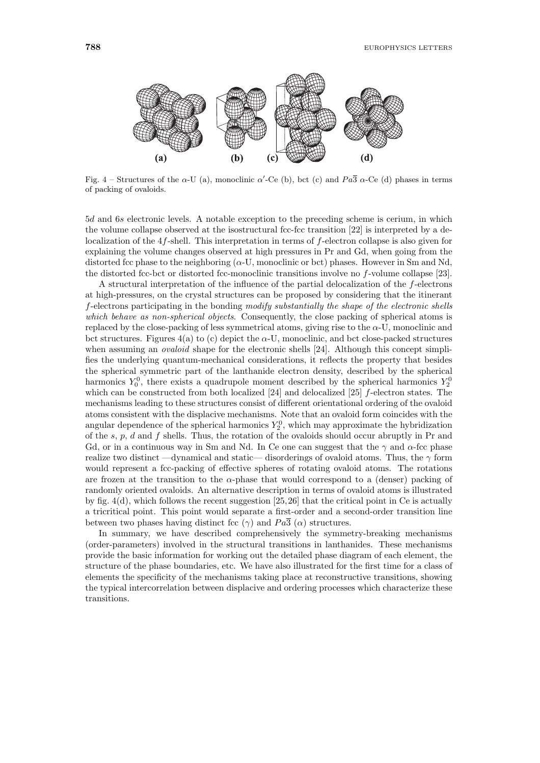

Fig. 4 – Structures of the  $\alpha$ -U (a), monoclinic  $\alpha'$ -Ce (b), bct (c) and  $Pa\overline{3}$   $\alpha$ -Ce (d) phases in terms of packing of ovaloids.

5d and 6s electronic levels. A notable exception to the preceding scheme is cerium, in which the volume collapse observed at the isostructural fcc-fcc transition [22] is interpreted by a delocalization of the  $4f$ -shell. This interpretation in terms of  $f$ -electron collapse is also given for explaining the volume changes observed at high pressures in Pr and Gd, when going from the distorted fcc phase to the neighboring (α-U, monoclinic or bct) phases. However in Sm and Nd, the distorted fcc-bct or distorted fcc-monoclinic transitions involve no f-volume collapse [23].

A structural interpretation of the influence of the partial delocalization of the f-electrons at high-pressures, on the crystal structures can be proposed by considering that the itinerant  $f$ -electrons participating in the bonding modify substantially the shape of the electronic shells which behave as non-spherical objects. Consequently, the close packing of spherical atoms is replaced by the close-packing of less symmetrical atoms, giving rise to the  $\alpha$ -U, monoclinic and bct structures. Figures  $4(a)$  to (c) depict the  $\alpha$ -U, monoclinic, and bct close-packed structures when assuming an ovaloid shape for the electronic shells [24]. Although this concept simplifies the underlying quantum-mechanical considerations, it reflects the property that besides the spherical symmetric part of the lanthanide electron density, described by the spherical harmonics  $Y_0^0$ , there exists a quadrupole moment described by the spherical harmonics  $Y_2^0$ which can be constructed from both localized [24] and delocalized [25]  $f$ -electron states. The mechanisms leading to these structures consist of different orientational ordering of the ovaloid atoms consistent with the displacive mechanisms. Note that an ovaloid form coincides with the angular dependence of the spherical harmonics  $Y_2^0$ , which may approximate the hybridization of the  $s, p, d$  and  $f$  shells. Thus, the rotation of the ovaloids should occur abruptly in Pr and Gd, or in a continuous way in Sm and Nd. In Ce one can suggest that the  $\gamma$  and  $\alpha$ -fcc phase realize two distinct —dynamical and static— disorderings of ovaloid atoms. Thus, the  $\gamma$  form would represent a fcc-packing of effective spheres of rotating ovaloid atoms. The rotations are frozen at the transition to the  $\alpha$ -phase that would correspond to a (denser) packing of randomly oriented ovaloids. An alternative description in terms of ovaloid atoms is illustrated by fig. 4(d), which follows the recent suggestion [25,26] that the critical point in Ce is actually a tricritical point. This point would separate a first-order and a second-order transition line between two phases having distinct fcc  $(\gamma)$  and  $Pa\overline{3}$   $(\alpha)$  structures.

In summary, we have described comprehensively the symmetry-breaking mechanisms (order-parameters) involved in the structural transitions in lanthanides. These mechanisms provide the basic information for working out the detailed phase diagram of each element, the structure of the phase boundaries, etc. We have also illustrated for the first time for a class of elements the specificity of the mechanisms taking place at reconstructive transitions, showing the typical intercorrelation between displacive and ordering processes which characterize these transitions.